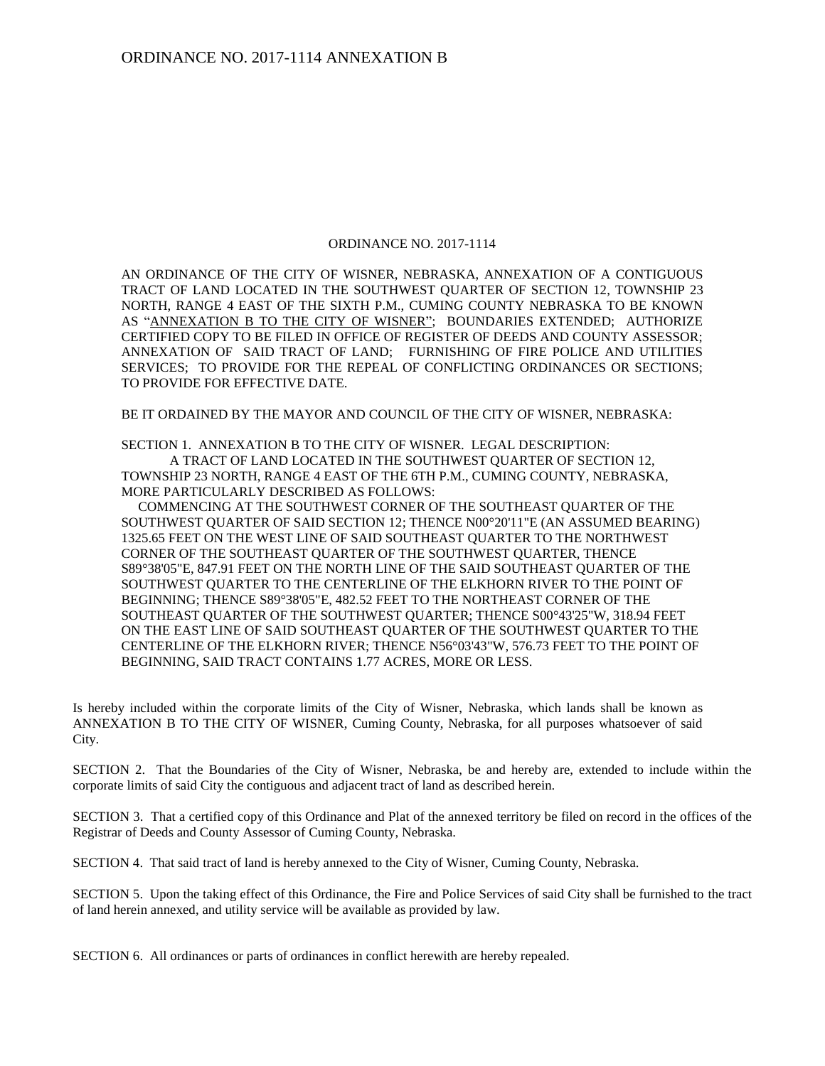## ORDINANCE NO. 2017-1114

AN ORDINANCE OF THE CITY OF WISNER, NEBRASKA, ANNEXATION OF A CONTIGUOUS TRACT OF LAND LOCATED IN THE SOUTHWEST QUARTER OF SECTION 12, TOWNSHIP 23 NORTH, RANGE 4 EAST OF THE SIXTH P.M., CUMING COUNTY NEBRASKA TO BE KNOWN AS "ANNEXATION B TO THE CITY OF WISNER"; BOUNDARIES EXTENDED; AUTHORIZE CERTIFIED COPY TO BE FILED IN OFFICE OF REGISTER OF DEEDS AND COUNTY ASSESSOR; ANNEXATION OF SAID TRACT OF LAND; FURNISHING OF FIRE POLICE AND UTILITIES SERVICES; TO PROVIDE FOR THE REPEAL OF CONFLICTING ORDINANCES OR SECTIONS; TO PROVIDE FOR EFFECTIVE DATE.

BE IT ORDAINED BY THE MAYOR AND COUNCIL OF THE CITY OF WISNER, NEBRASKA:

SECTION 1. ANNEXATION B TO THE CITY OF WISNER. LEGAL DESCRIPTION:

A TRACT OF LAND LOCATED IN THE SOUTHWEST QUARTER OF SECTION 12, TOWNSHIP 23 NORTH, RANGE 4 EAST OF THE 6TH P.M., CUMING COUNTY, NEBRASKA, MORE PARTICULARLY DESCRIBED AS FOLLOWS:

 COMMENCING AT THE SOUTHWEST CORNER OF THE SOUTHEAST QUARTER OF THE SOUTHWEST QUARTER OF SAID SECTION 12; THENCE N00°20'11"E (AN ASSUMED BEARING) 1325.65 FEET ON THE WEST LINE OF SAID SOUTHEAST QUARTER TO THE NORTHWEST CORNER OF THE SOUTHEAST QUARTER OF THE SOUTHWEST QUARTER, THENCE S89°38'05"E, 847.91 FEET ON THE NORTH LINE OF THE SAID SOUTHEAST QUARTER OF THE SOUTHWEST QUARTER TO THE CENTERLINE OF THE ELKHORN RIVER TO THE POINT OF BEGINNING; THENCE S89°38'05"E, 482.52 FEET TO THE NORTHEAST CORNER OF THE SOUTHEAST QUARTER OF THE SOUTHWEST QUARTER; THENCE S00°43'25"W, 318.94 FEET ON THE EAST LINE OF SAID SOUTHEAST QUARTER OF THE SOUTHWEST QUARTER TO THE CENTERLINE OF THE ELKHORN RIVER; THENCE N56°03'43"W, 576.73 FEET TO THE POINT OF BEGINNING, SAID TRACT CONTAINS 1.77 ACRES, MORE OR LESS.

Is hereby included within the corporate limits of the City of Wisner, Nebraska, which lands shall be known as ANNEXATION B TO THE CITY OF WISNER, Cuming County, Nebraska, for all purposes whatsoever of said City.

SECTION 2. That the Boundaries of the City of Wisner, Nebraska, be and hereby are, extended to include within the corporate limits of said City the contiguous and adjacent tract of land as described herein.

SECTION 3. That a certified copy of this Ordinance and Plat of the annexed territory be filed on record in the offices of the Registrar of Deeds and County Assessor of Cuming County, Nebraska.

SECTION 4. That said tract of land is hereby annexed to the City of Wisner, Cuming County, Nebraska.

SECTION 5. Upon the taking effect of this Ordinance, the Fire and Police Services of said City shall be furnished to the tract of land herein annexed, and utility service will be available as provided by law.

SECTION 6. All ordinances or parts of ordinances in conflict herewith are hereby repealed.